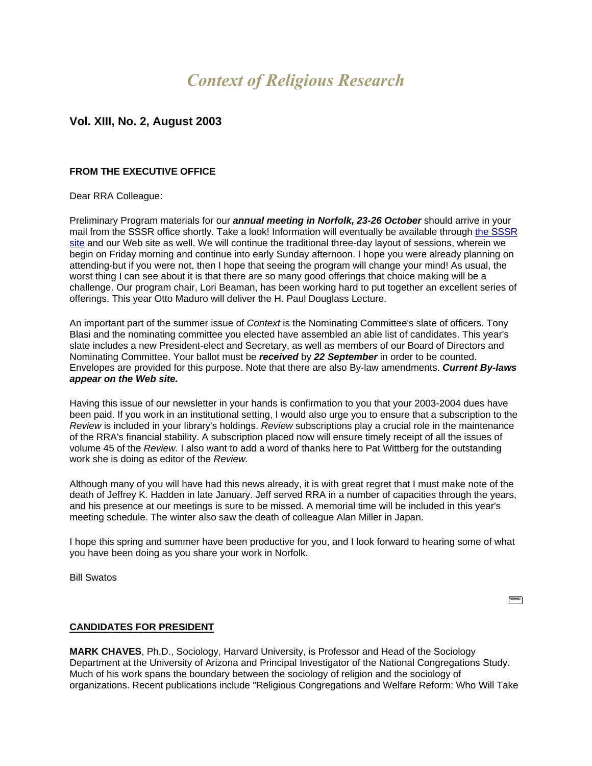# *Context of Religious Research*

# **Vol. XIII, No. 2, August 2003**

### **FROM THE EXECUTIVE OFFICE**

#### Dear RRA Colleague:

Preliminary Program materials for our *annual meeting in Norfolk, 23-26 October* should arrive in your mail from the SSSR office shortly. Take a look! Information will eventually be available through [the SSSR](http://las.alfred.edu/~soc/SSSR/preliminary%20program%202%20web.htm)  [site](http://las.alfred.edu/~soc/SSSR/preliminary%20program%202%20web.htm) and our Web site as well. We will continue the traditional three-day layout of sessions, wherein we begin on Friday morning and continue into early Sunday afternoon. I hope you were already planning on attending-but if you were not, then I hope that seeing the program will change your mind! As usual, the worst thing I can see about it is that there are so many good offerings that choice making will be a challenge. Our program chair, Lori Beaman, has been working hard to put together an excellent series of offerings. This year Otto Maduro will deliver the H. Paul Douglass Lecture.

An important part of the summer issue of *Context* is the Nominating Committee's slate of officers. Tony Blasi and the nominating committee you elected have assembled an able list of candidates. This year's slate includes a new President-elect and Secretary, as well as members of our Board of Directors and Nominating Committee. Your ballot must be *received* by *22 September* in order to be counted. Envelopes are provided for this purpose. Note that there are also By-law amendments. *Current By-laws appear on the Web site.*

Having this issue of our newsletter in your hands is confirmation to you that your 2003-2004 dues have been paid. If you work in an institutional setting, I would also urge you to ensure that a subscription to the *Review* is included in your library's holdings. *Review* subscriptions play a crucial role in the maintenance of the RRA's financial stability. A subscription placed now will ensure timely receipt of all the issues of volume 45 of the *Review.* I also want to add a word of thanks here to Pat Wittberg for the outstanding work she is doing as editor of the *Review.*

Although many of you will have had this news already, it is with great regret that I must make note of the death of Jeffrey K. Hadden in late January. Jeff served RRA in a number of capacities through the years, and his presence at our meetings is sure to be missed. A memorial time will be included in this year's meeting schedule. The winter also saw the death of colleague Alan Miller in Japan.

I hope this spring and summer have been productive for you, and I look forward to hearing some of what you have been doing as you share your work in Norfolk.

Bill Swatos

 $\mathcal{L}_{\text{max}}$ 

#### **CANDIDATES FOR PRESIDENT**

**MARK CHAVES**, Ph.D., Sociology, Harvard University, is Professor and Head of the Sociology Department at the University of Arizona and Principal Investigator of the National Congregations Study. Much of his work spans the boundary between the sociology of religion and the sociology of organizations. Recent publications include "Religious Congregations and Welfare Reform: Who Will Take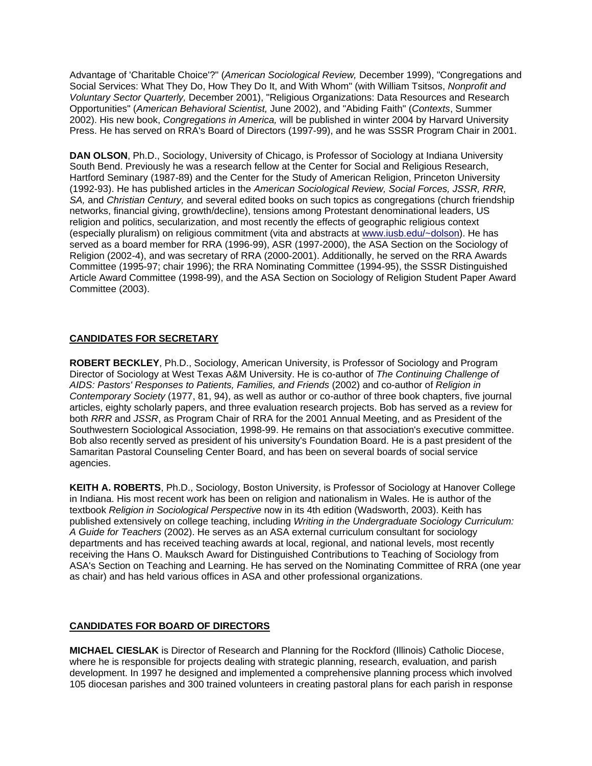Advantage of 'Charitable Choice'?" (*American Sociological Review,* December 1999), "Congregations and Social Services: What They Do, How They Do It, and With Whom" (with William Tsitsos, *Nonprofit and Voluntary Sector Quarterly,* December 2001), "Religious Organizations: Data Resources and Research Opportunities" (*American Behavioral Scientist,* June 2002), and "Abiding Faith" (*Contexts*, Summer 2002). His new book, *Congregations in America,* will be published in winter 2004 by Harvard University Press. He has served on RRA's Board of Directors (1997-99), and he was SSSR Program Chair in 2001.

**DAN OLSON**, Ph.D., Sociology, University of Chicago, is Professor of Sociology at Indiana University South Bend. Previously he was a research fellow at the Center for Social and Religious Research, Hartford Seminary (1987-89) and the Center for the Study of American Religion, Princeton University (1992-93). He has published articles in the *American Sociological Review, Social Forces, JSSR, RRR, SA,* and *Christian Century,* and several edited books on such topics as congregations (church friendship networks, financial giving, growth/decline), tensions among Protestant denominational leaders, US religion and politics, secularization, and most recently the effects of geographic religious context (especially pluralism) on religious commitment (vita and abstracts at [www.iusb.edu/~dolson\)](http://www.iusb.edu/~dolson). He has served as a board member for RRA (1996-99), ASR (1997-2000), the ASA Section on the Sociology of Religion (2002-4), and was secretary of RRA (2000-2001). Additionally, he served on the RRA Awards Committee (1995-97; chair 1996); the RRA Nominating Committee (1994-95), the SSSR Distinguished Article Award Committee (1998-99), and the ASA Section on Sociology of Religion Student Paper Award Committee (2003).

# **CANDIDATES FOR SECRETARY**

**ROBERT BECKLEY**, Ph.D., Sociology, American University, is Professor of Sociology and Program Director of Sociology at West Texas A&M University. He is co-author of *The Continuing Challenge of AIDS: Pastors' Responses to Patients, Families, and Friends* (2002) and co-author of *Religion in Contemporary Society* (1977, 81, 94), as well as author or co-author of three book chapters, five journal articles, eighty scholarly papers, and three evaluation research projects. Bob has served as a review for both *RRR* and *JSSR*, as Program Chair of RRA for the 2001 Annual Meeting, and as President of the Southwestern Sociological Association, 1998-99. He remains on that association's executive committee. Bob also recently served as president of his university's Foundation Board. He is a past president of the Samaritan Pastoral Counseling Center Board, and has been on several boards of social service agencies.

**KEITH A. ROBERTS**, Ph.D., Sociology, Boston University, is Professor of Sociology at Hanover College in Indiana. His most recent work has been on religion and nationalism in Wales. He is author of the textbook *Religion in Sociological Perspective* now in its 4th edition (Wadsworth, 2003). Keith has published extensively on college teaching, including *Writing in the Undergraduate Sociology Curriculum: A Guide for Teachers* (2002). He serves as an ASA external curriculum consultant for sociology departments and has received teaching awards at local, regional, and national levels, most recently receiving the Hans O. Mauksch Award for Distinguished Contributions to Teaching of Sociology from ASA's Section on Teaching and Learning. He has served on the Nominating Committee of RRA (one year as chair) and has held various offices in ASA and other professional organizations.

# **CANDIDATES FOR BOARD OF DIRECTORS**

**MICHAEL CIESLAK** is Director of Research and Planning for the Rockford (Illinois) Catholic Diocese, where he is responsible for projects dealing with strategic planning, research, evaluation, and parish development. In 1997 he designed and implemented a comprehensive planning process which involved 105 diocesan parishes and 300 trained volunteers in creating pastoral plans for each parish in response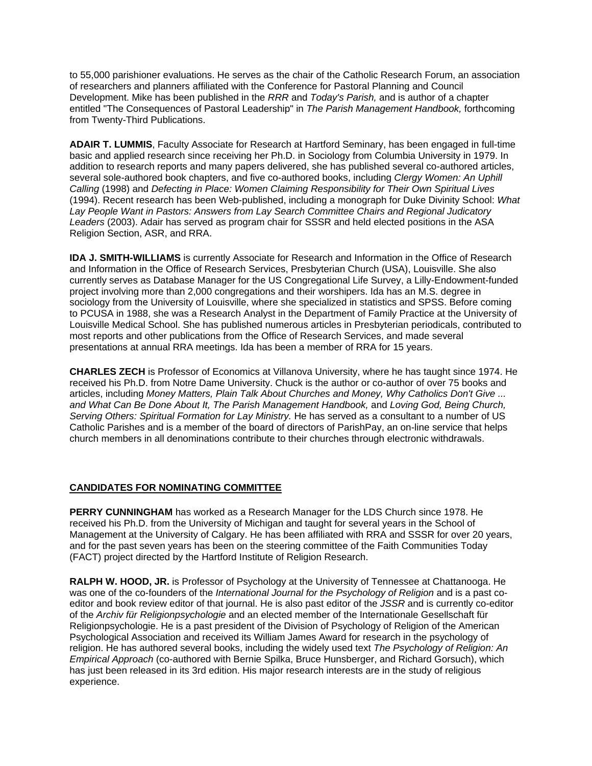to 55,000 parishioner evaluations. He serves as the chair of the Catholic Research Forum, an association of researchers and planners affiliated with the Conference for Pastoral Planning and Council Development. Mike has been published in the *RRR* and *Today's Parish,* and is author of a chapter entitled "The Consequences of Pastoral Leadership" in *The Parish Management Handbook,* forthcoming from Twenty-Third Publications.

**ADAIR T. LUMMIS**, Faculty Associate for Research at Hartford Seminary, has been engaged in full-time basic and applied research since receiving her Ph.D. in Sociology from Columbia University in 1979. In addition to research reports and many papers delivered, she has published several co-authored articles, several sole-authored book chapters, and five co-authored books, including *Clergy Women: An Uphill Calling* (1998) and *Defecting in Place: Women Claiming Responsibility for Their Own Spiritual Lives*  (1994). Recent research has been Web-published, including a monograph for Duke Divinity School: *What Lay People Want in Pastors: Answers from Lay Search Committee Chairs and Regional Judicatory Leaders* (2003). Adair has served as program chair for SSSR and held elected positions in the ASA Religion Section, ASR, and RRA.

**IDA J. SMITH-WILLIAMS** is currently Associate for Research and Information in the Office of Research and Information in the Office of Research Services, Presbyterian Church (USA), Louisville. She also currently serves as Database Manager for the US Congregational Life Survey, a Lilly-Endowment-funded project involving more than 2,000 congregations and their worshipers. Ida has an M.S. degree in sociology from the University of Louisville, where she specialized in statistics and SPSS. Before coming to PCUSA in 1988, she was a Research Analyst in the Department of Family Practice at the University of Louisville Medical School. She has published numerous articles in Presbyterian periodicals, contributed to most reports and other publications from the Office of Research Services, and made several presentations at annual RRA meetings. Ida has been a member of RRA for 15 years.

**CHARLES ZECH** is Professor of Economics at Villanova University, where he has taught since 1974. He received his Ph.D. from Notre Dame University. Chuck is the author or co-author of over 75 books and articles, including *Money Matters, Plain Talk About Churches and Money, Why Catholics Don't Give ... and What Can Be Done About It, The Parish Management Handbook,* and *Loving God, Being Church, Serving Others: Spiritual Formation for Lay Ministry.* He has served as a consultant to a number of US Catholic Parishes and is a member of the board of directors of ParishPay, an on-line service that helps church members in all denominations contribute to their churches through electronic withdrawals.

# **CANDIDATES FOR NOMINATING COMMITTEE**

**PERRY CUNNINGHAM** has worked as a Research Manager for the LDS Church since 1978. He received his Ph.D. from the University of Michigan and taught for several years in the School of Management at the University of Calgary. He has been affiliated with RRA and SSSR for over 20 years, and for the past seven years has been on the steering committee of the Faith Communities Today (FACT) project directed by the Hartford Institute of Religion Research.

**RALPH W. HOOD, JR.** is Professor of Psychology at the University of Tennessee at Chattanooga. He was one of the co-founders of the *International Journal for the Psychology of Religion* and is a past coeditor and book review editor of that journal. He is also past editor of the *JSSR* and is currently co-editor of the *Archiv für Religionpsychologie* and an elected member of the Internationale Gesellschaft für Religionpsychologie. He is a past president of the Division of Psychology of Religion of the American Psychological Association and received its William James Award for research in the psychology of religion. He has authored several books, including the widely used text *The Psychology of Religion: An Empirical Approach* (co-authored with Bernie Spilka, Bruce Hunsberger, and Richard Gorsuch), which has just been released in its 3rd edition. His major research interests are in the study of religious experience.